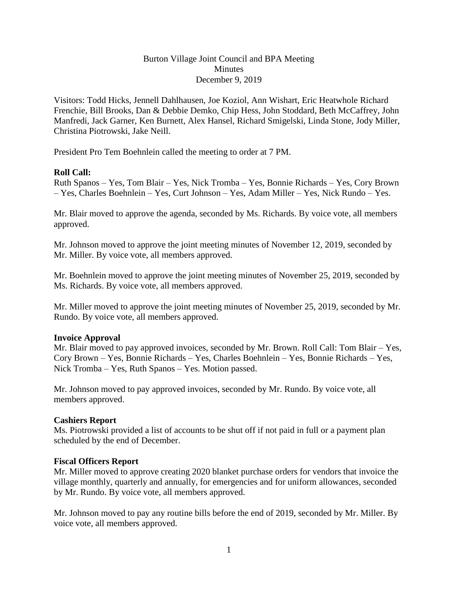### Burton Village Joint Council and BPA Meeting **Minutes** December 9, 2019

Visitors: Todd Hicks, Jennell Dahlhausen, Joe Koziol, Ann Wishart, Eric Heatwhole Richard Frenchie, Bill Brooks, Dan & Debbie Demko, Chip Hess, John Stoddard, Beth McCaffrey, John Manfredi, Jack Garner, Ken Burnett, Alex Hansel, Richard Smigelski, Linda Stone, Jody Miller, Christina Piotrowski, Jake Neill.

President Pro Tem Boehnlein called the meeting to order at 7 PM.

### **Roll Call:**

Ruth Spanos – Yes, Tom Blair – Yes, Nick Tromba – Yes, Bonnie Richards – Yes, Cory Brown – Yes, Charles Boehnlein – Yes, Curt Johnson – Yes, Adam Miller – Yes, Nick Rundo – Yes.

Mr. Blair moved to approve the agenda, seconded by Ms. Richards. By voice vote, all members approved.

Mr. Johnson moved to approve the joint meeting minutes of November 12, 2019, seconded by Mr. Miller. By voice vote, all members approved.

Mr. Boehnlein moved to approve the joint meeting minutes of November 25, 2019, seconded by Ms. Richards. By voice vote, all members approved.

Mr. Miller moved to approve the joint meeting minutes of November 25, 2019, seconded by Mr. Rundo. By voice vote, all members approved.

### **Invoice Approval**

Mr. Blair moved to pay approved invoices, seconded by Mr. Brown. Roll Call: Tom Blair – Yes, Cory Brown – Yes, Bonnie Richards – Yes, Charles Boehnlein – Yes, Bonnie Richards – Yes, Nick Tromba – Yes, Ruth Spanos – Yes. Motion passed.

Mr. Johnson moved to pay approved invoices, seconded by Mr. Rundo. By voice vote, all members approved.

### **Cashiers Report**

Ms. Piotrowski provided a list of accounts to be shut off if not paid in full or a payment plan scheduled by the end of December.

### **Fiscal Officers Report**

Mr. Miller moved to approve creating 2020 blanket purchase orders for vendors that invoice the village monthly, quarterly and annually, for emergencies and for uniform allowances, seconded by Mr. Rundo. By voice vote, all members approved.

Mr. Johnson moved to pay any routine bills before the end of 2019, seconded by Mr. Miller. By voice vote, all members approved.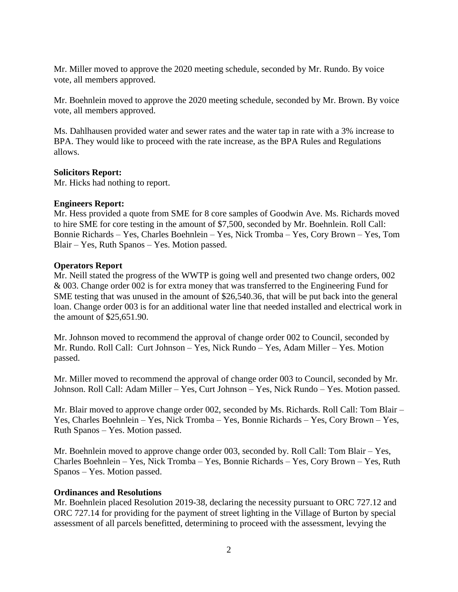Mr. Miller moved to approve the 2020 meeting schedule, seconded by Mr. Rundo. By voice vote, all members approved.

Mr. Boehnlein moved to approve the 2020 meeting schedule, seconded by Mr. Brown. By voice vote, all members approved.

Ms. Dahlhausen provided water and sewer rates and the water tap in rate with a 3% increase to BPA. They would like to proceed with the rate increase, as the BPA Rules and Regulations allows.

#### **Solicitors Report:**

Mr. Hicks had nothing to report.

### **Engineers Report:**

Mr. Hess provided a quote from SME for 8 core samples of Goodwin Ave. Ms. Richards moved to hire SME for core testing in the amount of \$7,500, seconded by Mr. Boehnlein. Roll Call: Bonnie Richards – Yes, Charles Boehnlein – Yes, Nick Tromba – Yes, Cory Brown – Yes, Tom Blair – Yes, Ruth Spanos – Yes. Motion passed.

#### **Operators Report**

Mr. Neill stated the progress of the WWTP is going well and presented two change orders, 002 & 003. Change order 002 is for extra money that was transferred to the Engineering Fund for SME testing that was unused in the amount of \$26,540.36, that will be put back into the general loan. Change order 003 is for an additional water line that needed installed and electrical work in the amount of \$25,651.90.

Mr. Johnson moved to recommend the approval of change order 002 to Council, seconded by Mr. Rundo. Roll Call: Curt Johnson – Yes, Nick Rundo – Yes, Adam Miller – Yes. Motion passed.

Mr. Miller moved to recommend the approval of change order 003 to Council, seconded by Mr. Johnson. Roll Call: Adam Miller – Yes, Curt Johnson – Yes, Nick Rundo – Yes. Motion passed.

Mr. Blair moved to approve change order 002, seconded by Ms. Richards. Roll Call: Tom Blair – Yes, Charles Boehnlein – Yes, Nick Tromba – Yes, Bonnie Richards – Yes, Cory Brown – Yes, Ruth Spanos – Yes. Motion passed.

Mr. Boehnlein moved to approve change order 003, seconded by. Roll Call: Tom Blair – Yes, Charles Boehnlein – Yes, Nick Tromba – Yes, Bonnie Richards – Yes, Cory Brown – Yes, Ruth Spanos – Yes. Motion passed.

### **Ordinances and Resolutions**

Mr. Boehnlein placed Resolution 2019-38, declaring the necessity pursuant to ORC 727.12 and ORC 727.14 for providing for the payment of street lighting in the Village of Burton by special assessment of all parcels benefitted, determining to proceed with the assessment, levying the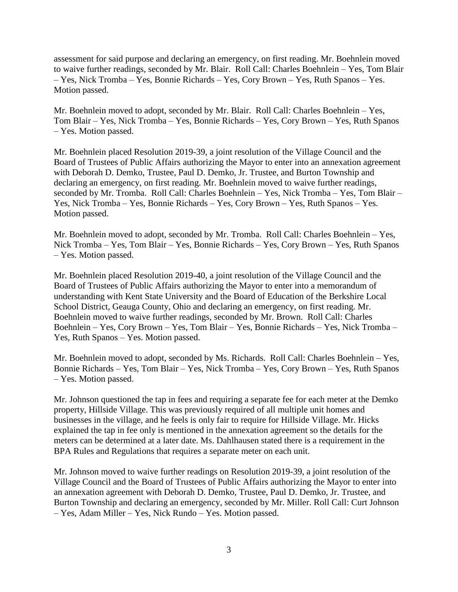assessment for said purpose and declaring an emergency, on first reading. Mr. Boehnlein moved to waive further readings, seconded by Mr. Blair. Roll Call: Charles Boehnlein – Yes, Tom Blair – Yes, Nick Tromba – Yes, Bonnie Richards – Yes, Cory Brown – Yes, Ruth Spanos – Yes. Motion passed.

Mr. Boehnlein moved to adopt, seconded by Mr. Blair. Roll Call: Charles Boehnlein – Yes, Tom Blair – Yes, Nick Tromba – Yes, Bonnie Richards – Yes, Cory Brown – Yes, Ruth Spanos – Yes. Motion passed.

Mr. Boehnlein placed Resolution 2019-39, a joint resolution of the Village Council and the Board of Trustees of Public Affairs authorizing the Mayor to enter into an annexation agreement with Deborah D. Demko, Trustee, Paul D. Demko, Jr. Trustee, and Burton Township and declaring an emergency, on first reading. Mr. Boehnlein moved to waive further readings, seconded by Mr. Tromba. Roll Call: Charles Boehnlein – Yes, Nick Tromba – Yes, Tom Blair – Yes, Nick Tromba – Yes, Bonnie Richards – Yes, Cory Brown – Yes, Ruth Spanos – Yes. Motion passed.

Mr. Boehnlein moved to adopt, seconded by Mr. Tromba. Roll Call: Charles Boehnlein – Yes, Nick Tromba – Yes, Tom Blair – Yes, Bonnie Richards – Yes, Cory Brown – Yes, Ruth Spanos – Yes. Motion passed.

Mr. Boehnlein placed Resolution 2019-40, a joint resolution of the Village Council and the Board of Trustees of Public Affairs authorizing the Mayor to enter into a memorandum of understanding with Kent State University and the Board of Education of the Berkshire Local School District, Geauga County, Ohio and declaring an emergency, on first reading. Mr. Boehnlein moved to waive further readings, seconded by Mr. Brown. Roll Call: Charles Boehnlein – Yes, Cory Brown – Yes, Tom Blair – Yes, Bonnie Richards – Yes, Nick Tromba – Yes, Ruth Spanos – Yes. Motion passed.

Mr. Boehnlein moved to adopt, seconded by Ms. Richards. Roll Call: Charles Boehnlein – Yes, Bonnie Richards – Yes, Tom Blair – Yes, Nick Tromba – Yes, Cory Brown – Yes, Ruth Spanos – Yes. Motion passed.

Mr. Johnson questioned the tap in fees and requiring a separate fee for each meter at the Demko property, Hillside Village. This was previously required of all multiple unit homes and businesses in the village, and he feels is only fair to require for Hillside Village. Mr. Hicks explained the tap in fee only is mentioned in the annexation agreement so the details for the meters can be determined at a later date. Ms. Dahlhausen stated there is a requirement in the BPA Rules and Regulations that requires a separate meter on each unit.

Mr. Johnson moved to waive further readings on Resolution 2019-39, a joint resolution of the Village Council and the Board of Trustees of Public Affairs authorizing the Mayor to enter into an annexation agreement with Deborah D. Demko, Trustee, Paul D. Demko, Jr. Trustee, and Burton Township and declaring an emergency, seconded by Mr. Miller. Roll Call: Curt Johnson – Yes, Adam Miller – Yes, Nick Rundo – Yes. Motion passed.